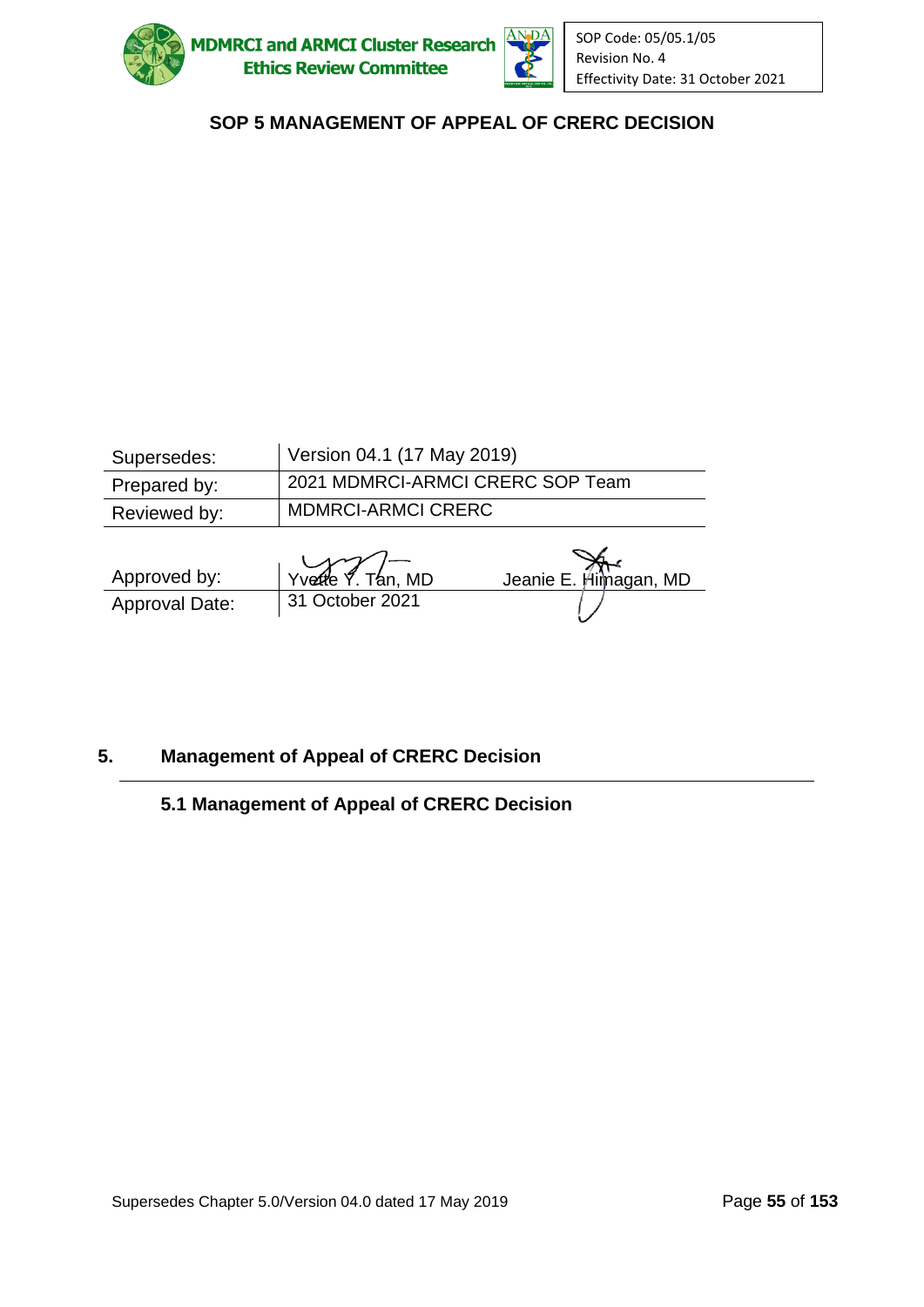



| Supersedes:  | Version 04.1 (17 May 2019)       |
|--------------|----------------------------------|
| Prepared by: | 2021 MDMRCI-ARMCI CRERC SOP Team |
| Reviewed by: | <b>MDMRCI-ARMCI CRERC</b>        |
|              |                                  |

| Approved by:   | $\frac{1}{\sqrt{2}}$ Yvette $\frac{1}{\sqrt{2}}$ Tan, MD | Jeanie E. Himagan, MD |
|----------------|----------------------------------------------------------|-----------------------|
| Approval Date: | 31 October 2021                                          |                       |

### **5. Management of Appeal of CRERC Decision**

## **5.1 Management of Appeal of CRERC Decision**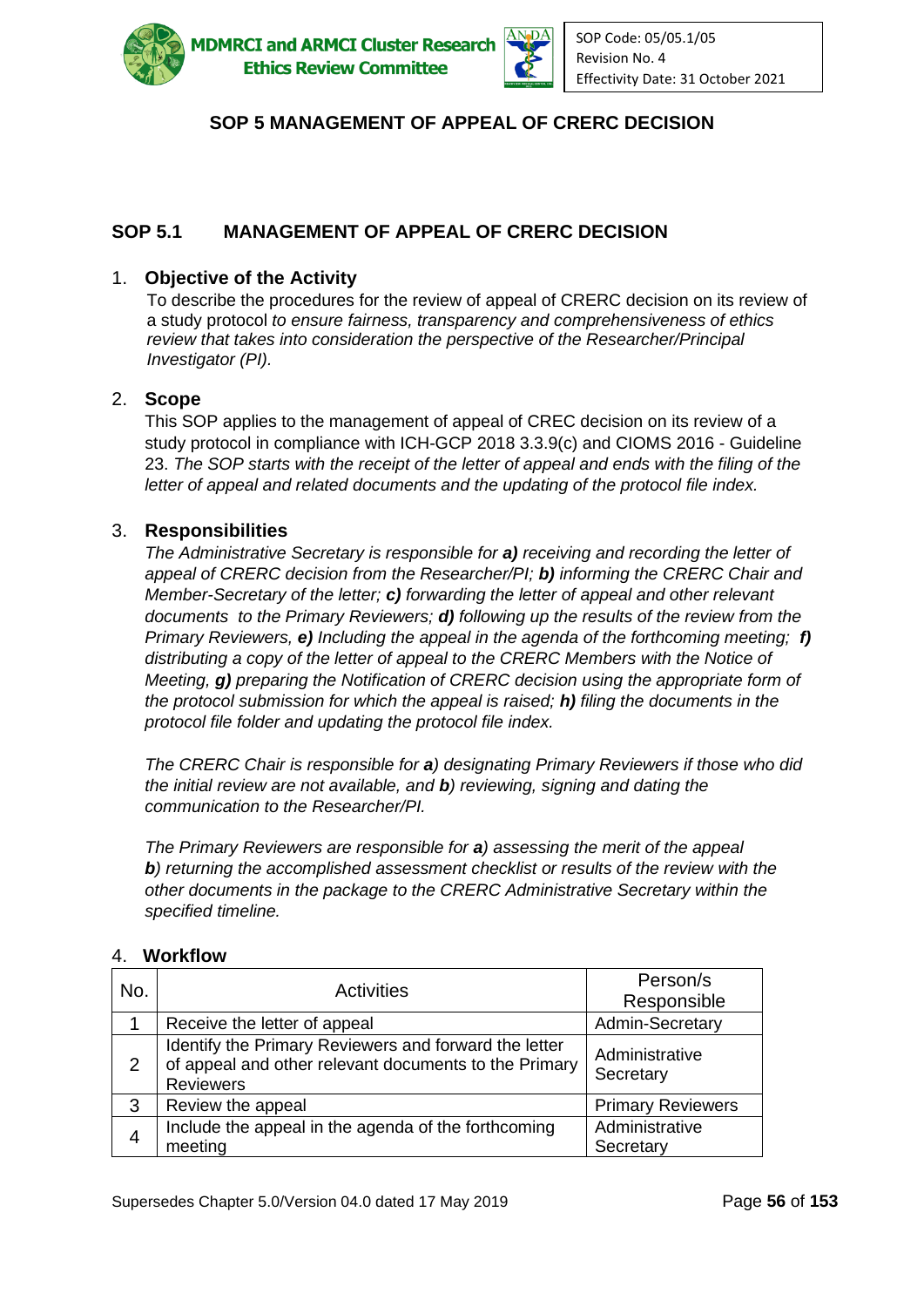

**ADMRCI and ARMCI Cluster Research Ethics Review Committee** 



## **SOP 5 MANAGEMENT OF APPEAL OF CRERC DECISION**

## **SOP 5.1 MANAGEMENT OF APPEAL OF CRERC DECISION**

#### 1. **Objective of the Activity**

To describe the procedures for the review of appeal of CRERC decision on its review of a study protocol *to ensure fairness, transparency and comprehensiveness of ethics review that takes into consideration the perspective of the Researcher/Principal Investigator (PI).*

#### 2. **Scope**

This SOP applies to the management of appeal of CREC decision on its review of a study protocol in compliance with ICH-GCP 2018 3.3.9(c) and CIOMS 2016 - Guideline 23. *The SOP starts with the receipt of the letter of appeal and ends with the filing of the letter of appeal and related documents and the updating of the protocol file index.*

#### 3. **Responsibilities**

*The Administrative Secretary is responsible for a) receiving and recording the letter of appeal of CRERC decision from the Researcher/PI; b) informing the CRERC Chair and Member-Secretary of the letter; c) forwarding the letter of appeal and other relevant documents to the Primary Reviewers; d) following up the results of the review from the Primary Reviewers, e) Including the appeal in the agenda of the forthcoming meeting; f) distributing a copy of the letter of appeal to the CRERC Members with the Notice of Meeting, g) preparing the Notification of CRERC decision using the appropriate form of the protocol submission for which the appeal is raised; h) filing the documents in the protocol file folder and updating the protocol file index.*

*The CRERC Chair is responsible for a) designating Primary Reviewers if those who did the initial review are not available, and b) reviewing, signing and dating the communication to the Researcher/PI.*

*The Primary Reviewers are responsible for a) assessing the merit of the appeal b) returning the accomplished assessment checklist or results of the review with the other documents in the package to the CRERC Administrative Secretary within the specified timeline.*

| No.            | <b>Activities</b>                                                                                                                  | Person/s                    |
|----------------|------------------------------------------------------------------------------------------------------------------------------------|-----------------------------|
|                |                                                                                                                                    | Responsible                 |
|                | Receive the letter of appeal                                                                                                       | Admin-Secretary             |
| 2              | Identify the Primary Reviewers and forward the letter<br>of appeal and other relevant documents to the Primary<br><b>Reviewers</b> | Administrative<br>Secretary |
| 3              | Review the appeal                                                                                                                  | <b>Primary Reviewers</b>    |
| $\overline{4}$ | Include the appeal in the agenda of the forthcoming<br>meeting                                                                     | Administrative<br>Secretary |

#### 4. **Workflow**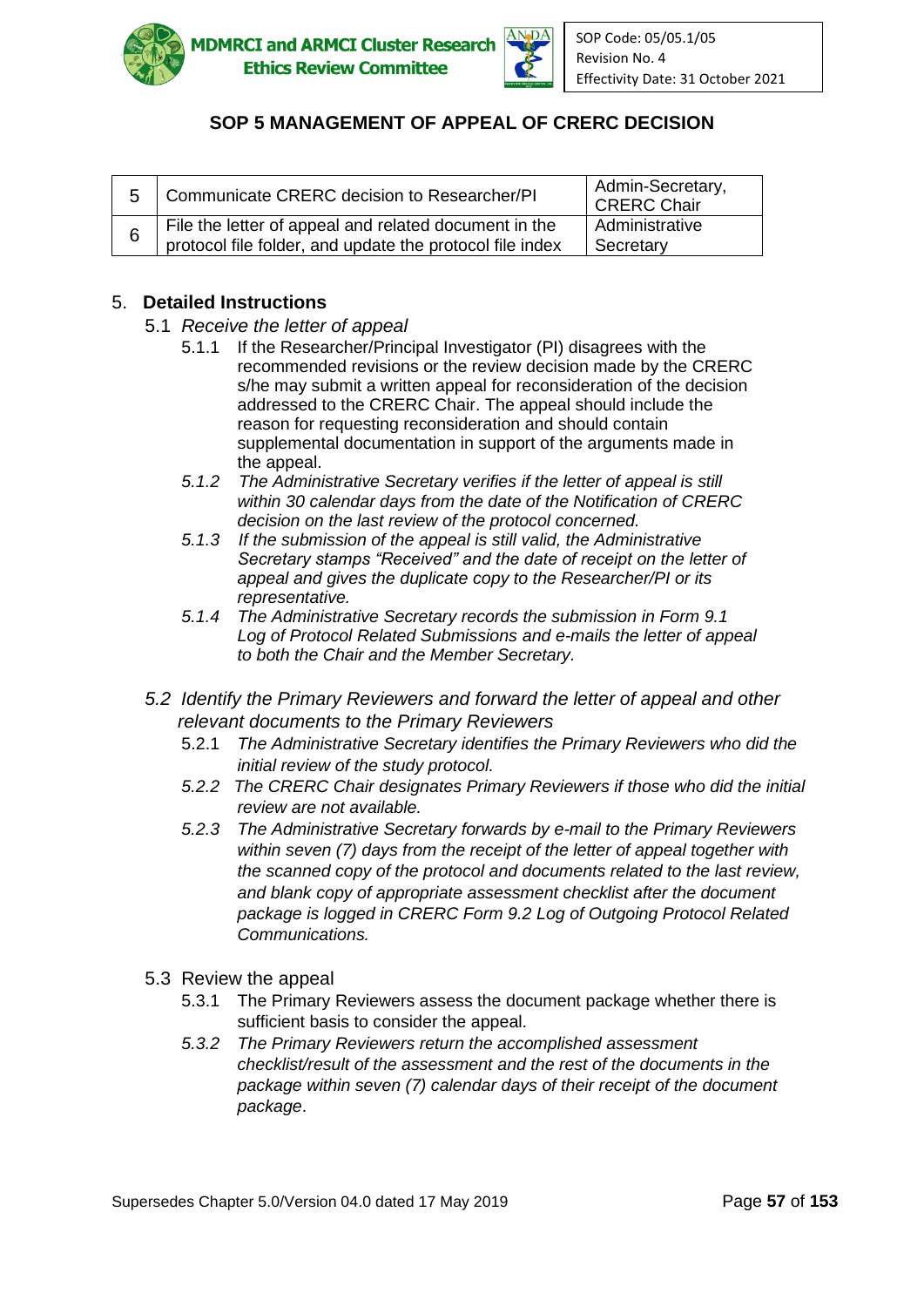



| Communicate CRERC decision to Researcher/PI                                                                       | Admin-Secretary,<br><b>CRERC Chair</b> |
|-------------------------------------------------------------------------------------------------------------------|----------------------------------------|
| File the letter of appeal and related document in the<br>protocol file folder, and update the protocol file index | Administrative<br>Secretary            |

#### 5. **Detailed Instructions**

- 5.1 *Receive the letter of appeal*
	- 5.1.1 If the Researcher/Principal Investigator (PI) disagrees with the recommended revisions or the review decision made by the CRERC s/he may submit a written appeal for reconsideration of the decision addressed to the CRERC Chair. The appeal should include the reason for requesting reconsideration and should contain supplemental documentation in support of the arguments made in the appeal.
	- *5.1.2 The Administrative Secretary verifies if the letter of appeal is still within 30 calendar days from the date of the Notification of CRERC decision on the last review of the protocol concerned.*
	- *5.1.3 If the submission of the appeal is still valid, the Administrative Secretary stamps "Received" and the date of receipt on the letter of appeal and gives the duplicate copy to the Researcher/PI or its representative.*
	- *5.1.4 The Administrative Secretary records the submission in Form 9.1 Log of Protocol Related Submissions and e-mails the letter of appeal to both the Chair and the Member Secretary.*
- *5.2 Identify the Primary Reviewers and forward the letter of appeal and other relevant documents to the Primary Reviewers*
	- 5.2.1 *The Administrative Secretary identifies the Primary Reviewers who did the initial review of the study protocol.*
	- *5.2.2 The CRERC Chair designates Primary Reviewers if those who did the initial review are not available.*
	- *5.2.3 The Administrative Secretary forwards by e-mail to the Primary Reviewers within seven (7) days from the receipt of the letter of appeal together with the scanned copy of the protocol and documents related to the last review, and blank copy of appropriate assessment checklist after the document package is logged in CRERC Form 9.2 Log of Outgoing Protocol Related Communications.*
- 5.3 Review the appeal
	- 5.3.1 The Primary Reviewers assess the document package whether there is sufficient basis to consider the appeal.
	- *5.3.2 The Primary Reviewers return the accomplished assessment checklist/result of the assessment and the rest of the documents in the package within seven (7) calendar days of their receipt of the document package*.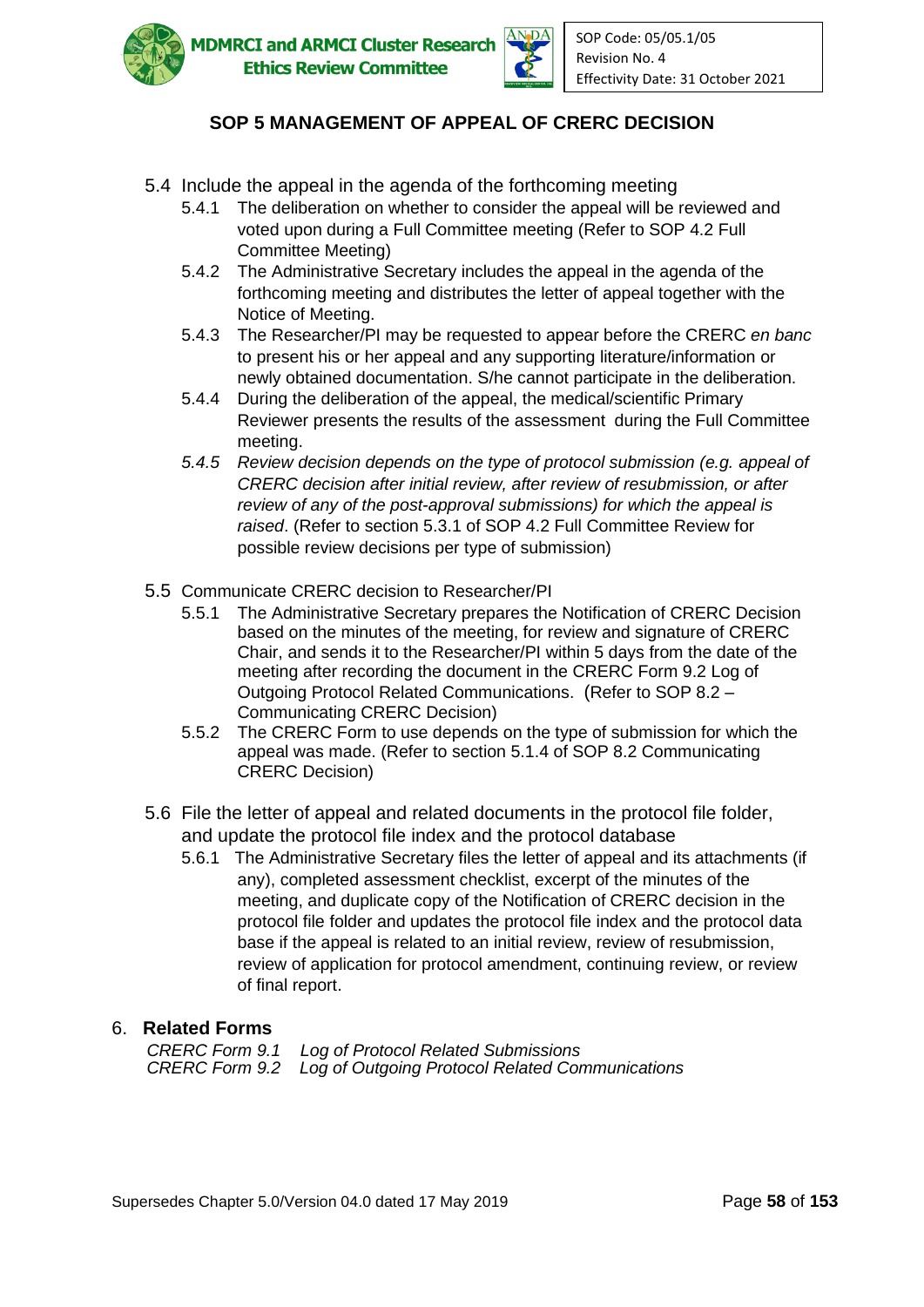



- 5.4 Include the appeal in the agenda of the forthcoming meeting
	- 5.4.1 The deliberation on whether to consider the appeal will be reviewed and voted upon during a Full Committee meeting (Refer to SOP 4.2 Full Committee Meeting)
	- 5.4.2 The Administrative Secretary includes the appeal in the agenda of the forthcoming meeting and distributes the letter of appeal together with the Notice of Meeting.
	- 5.4.3 The Researcher/PI may be requested to appear before the CRERC *en banc* to present his or her appeal and any supporting literature/information or newly obtained documentation. S/he cannot participate in the deliberation.
	- 5.4.4 During the deliberation of the appeal, the medical/scientific Primary Reviewer presents the results of the assessment during the Full Committee meeting.
	- *5.4.5 Review decision depends on the type of protocol submission (e.g. appeal of CRERC decision after initial review, after review of resubmission, or after review of any of the post-approval submissions) for which the appeal is raised*. (Refer to section 5.3.1 of SOP 4.2 Full Committee Review for possible review decisions per type of submission)
- 5.5 Communicate CRERC decision to Researcher/PI
	- 5.5.1 The Administrative Secretary prepares the Notification of CRERC Decision based on the minutes of the meeting, for review and signature of CRERC Chair, and sends it to the Researcher/PI within 5 days from the date of the meeting after recording the document in the CRERC Form 9.2 Log of Outgoing Protocol Related Communications. (Refer to SOP 8.2 – Communicating CRERC Decision)
	- 5.5.2 The CRERC Form to use depends on the type of submission for which the appeal was made. (Refer to section 5.1.4 of SOP 8.2 Communicating CRERC Decision)
- 5.6 File the letter of appeal and related documents in the protocol file folder, and update the protocol file index and the protocol database
	- 5.6.1 The Administrative Secretary files the letter of appeal and its attachments (if any), completed assessment checklist, excerpt of the minutes of the meeting, and duplicate copy of the Notification of CRERC decision in the protocol file folder and updates the protocol file index and the protocol data base if the appeal is related to an initial review, review of resubmission, review of application for protocol amendment, continuing review, or review of final report.

#### 6. **Related Forms**

*CRERC Form 9.1 Log of Protocol Related Submissions CRERC Form 9.2 Log of Outgoing Protocol Related Communications*